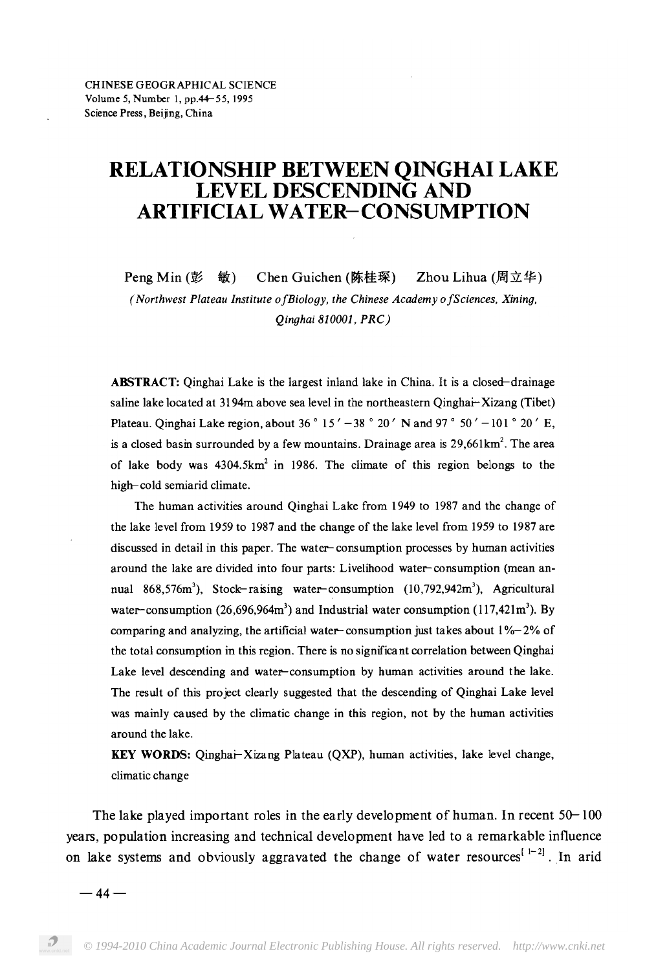# RELATIONSHIP BETWEEN QINGHAI LAKE<br>LEVEL DESCENDING AND **ARTIFICIAL WATER-CONSUMPTION**

Peng Min  $(\underline{E}$  敏) Chen Guichen (陈桂琛) Zhou Lihua (周立华) (Northwest Plateau Institute of Biology, the Chinese Academy of Sciences, Xining, Qinghai 810001, PRC)

**ABSTRACT:** Oinghai Lake is the largest inland lake in China. It is a closed-drainage saline lake located at 3194m above sea level in the northeastern Qinghai-Xizang (Tibet) Plateau. Qinghai Lake region, about 36 ° 15' - 38 ° 20' N and 97 ° 50' - 101 ° 20' E, , , of lake body was 4304.5km<sup>2</sup> in 1986. The climate of this region belongs to the high-cold semiarid climate.

The human activities around Qinghai Lake from 1949 to 1987 and the change of the lake level from 1959 to 1987 and the change of the lake level from 1959 to 1987 are discussed in detail in this paper. The water-consumption processes by human activities around the lake are divided into four parts: Livelihood water-consumption (mean an-576 $m<sup>3</sup>$ ) Stock-raising water-consumption (10.792.942 $m<sup>3</sup>$ )  $\cos \alpha \leq 3$ ,  $\sin \alpha$ ,  $\sin \alpha$ ,  $\cos \alpha$ ,  $\sin \alpha$ ,  $\sin \alpha$ ,  $\sin \alpha$ comparing and analyzing, the artificial water-consumption just takes about  $1\%$ -2% of the total consumption in this region. There is no significant correlation between Qinghai Lake level descending and water-consumption by human activities around the lake. The result of this project clearly suggested that the descending of Qinghai Lake level was mainly caused by the climatic change in this region, not by the human activities around the lake.

KEY WORDS: Qinghai-Xizang Plateau (QXP), human activities, lake level change, climatic change

The lake played important roles in the early development of human. In recent  $50-100$ years, population increasing and technical development have led to a remarkable influence on lake systems and obviously aggravated the change of water resources  $[1-2]$ . In arid

 $-44-$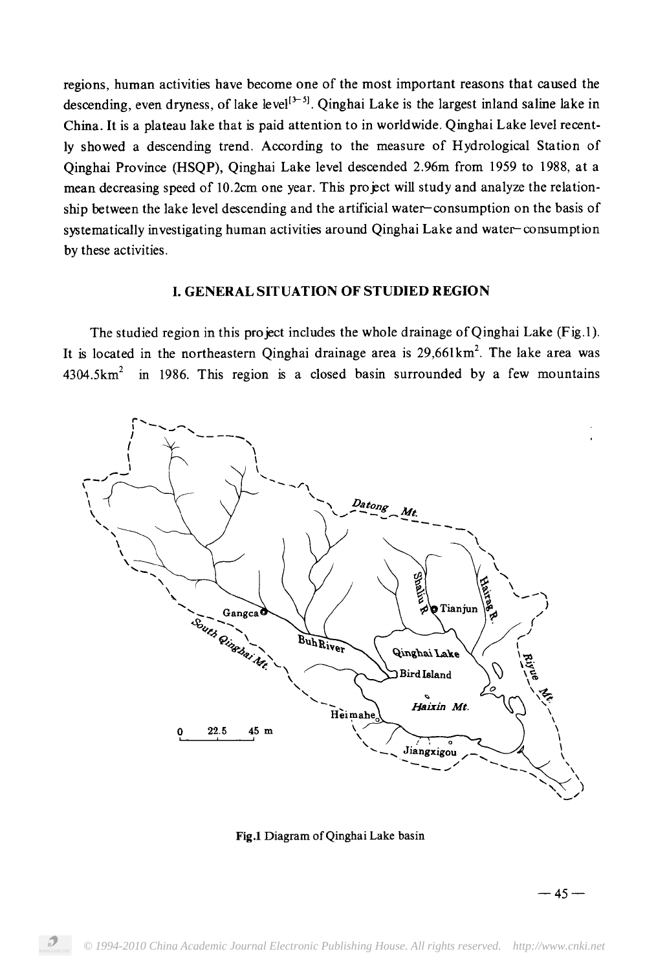regions, human activities have become one of the most important reasons that caused the descending, even dryness, of lake level<sup> $[3-5]$ </sup>. Qinghai Lake is the largest inland saline lake in China. It is a plateau lake that is paid attention to in worldwide. Qinghai Lake level recently showed a descending trend. According to the measure of Hydrological Station of Oinghai Province (HSOP), Oinghai Lake level descended 2.96m from 1959 to 1988, at a mean decreasing speed of 10.2cm one year. This project will study and analyze the relationship between the lake level descending and the artificial water-consumption on the basis of systematically investigating human activities around Qinghai Lake and water-consumption by these activities.

#### **I. GENERAL SITUATION OF STUDIED REGION**

The studied region in this project includes the whole drainage of Qinghai Lake (Fig.1). is located in the northeastern Oinghai drainage area is 29 4304.5km<sup>2</sup> in 1986. This region is a closed basin surrounded by a few mountains



Fig.1 Diagram of Qinghai Lake basin

 $-45-$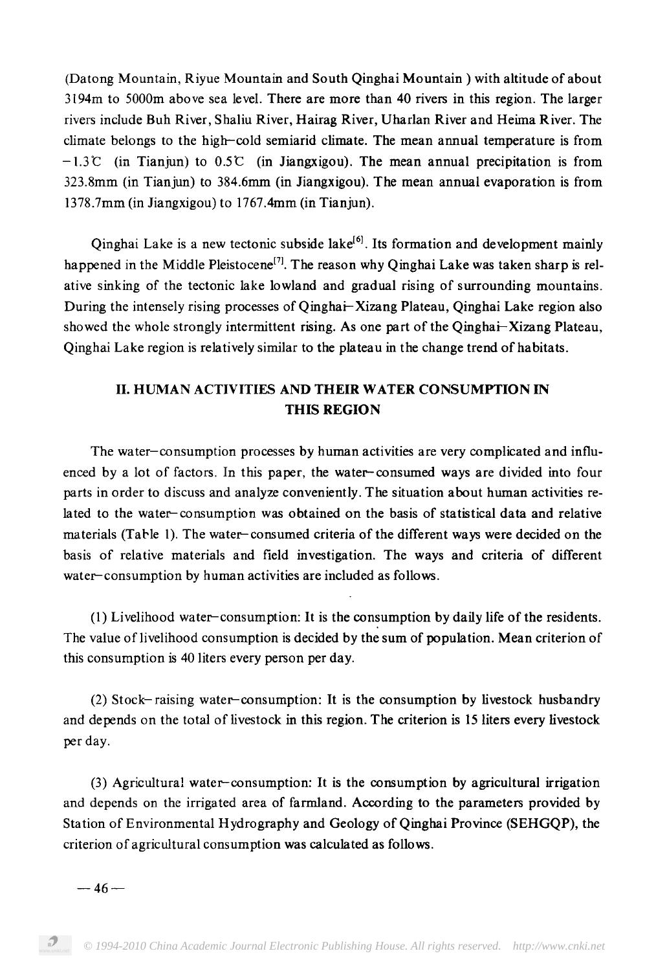(Datong Mountain, Riyue Mountain and South Qinghai Mountain) with altitude of about 3194m to 5000m above sea level. There are more than 40 rivers in this region. The larger rivers include Buh River, Shaliu River, Hairag River, Uharlan River and Heima River. The climate belongs to the high-cold semiarid climate. The mean annual temperature is from  $-1.3$ °C (in Tianjun) to 0.5°C (in Jiangxigou). The mean annual precipitation is from 323.8mm (in Tianjun) to 384.6mm (in Jiangxigou). The mean annual evaporation is from 1378.7mm (in Jiangxigou) to 1767.4mm (in Tianjun).

Qinghai Lake is a new tectonic subside lake<sup>[6]</sup>. Its formation and development mainly happened in the Middle Pleistocene<sup>[7]</sup>. The reason why Qinghai Lake was taken sharp is relative sinking of the tectonic lake lowland and gradual rising of surrounding mountains. During the intensely rising processes of Qinghai-Xizang Plateau, Qinghai Lake region also showed the whole strongly intermittent rising. As one part of the Qinghai-Xizang Plateau, Qinghai Lake region is relatively similar to the plateau in the change trend of habitats.

# II. HUMAN ACTIVITIES AND THEIR WATER CONSUMPTION IN **THIS REGION**

The water-consumption processes by human activities are very complicated and influenced by a lot of factors. In this paper, the water-consumed ways are divided into four parts in order to discuss and analyze conveniently. The situation about human activities related to the water-consumption was obtained on the basis of statistical data and relative materials (Table 1). The water-consumed criteria of the different ways were decided on the basis of relative materials and field investigation. The ways and criteria of different water-consumption by human activities are included as follows.

(1) Livelihood water-consumption: It is the consumption by daily life of the residents. The value of livelihood consumption is decided by the sum of population. Mean criterion of this consumption is 40 liters every person per day.

(2) Stock-raising water-consumption: It is the consumption by livestock husbandry and depends on the total of livestock in this region. The criterion is 15 liters every livestock per day.

(3) Agricultural water-consumption: It is the consumption by agricultural irrigation and depends on the irrigated area of farmland. According to the parameters provided by Station of Environmental Hydrography and Geology of Qinghai Province (SEHGQP), the criterion of agricultural consumption was calculated as follows.

 $-46-$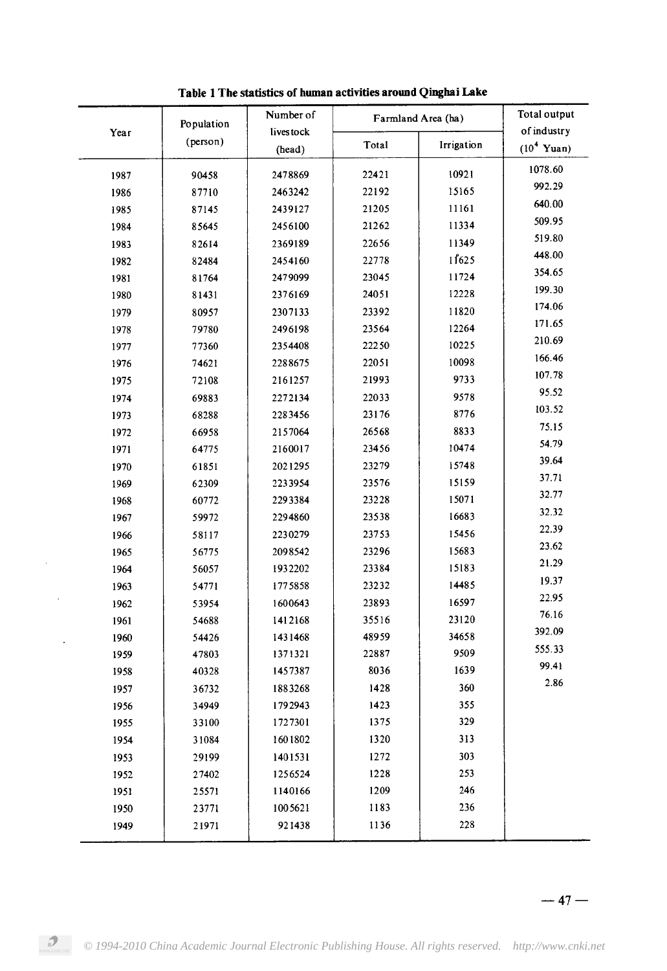| of industry<br>livestock<br>Year<br>(person)<br>Total<br>Irrigation<br>(10 <sup>4</sup> Yuan)<br>(head)<br>1078.60<br>22421<br>10921<br>90458<br>2478869<br>1987<br>992.29<br>15165<br>22192<br>2463242<br>1986<br>87710 |  |
|--------------------------------------------------------------------------------------------------------------------------------------------------------------------------------------------------------------------------|--|
|                                                                                                                                                                                                                          |  |
|                                                                                                                                                                                                                          |  |
|                                                                                                                                                                                                                          |  |
| 640.00<br>11161<br>21205<br>1985<br>87145<br>2439127                                                                                                                                                                     |  |
| 509.95<br>11334<br>21262<br>2456100<br>1984<br>85645                                                                                                                                                                     |  |
| 519.80<br>11349<br>22656<br>2369189<br>1983<br>82614                                                                                                                                                                     |  |
| 448.00<br>11625<br>22778<br>2454160<br>1982<br>82484                                                                                                                                                                     |  |
| 354.65<br>11724<br>23045<br>81764<br>2479099<br>1981                                                                                                                                                                     |  |
| 199.30<br>12228<br>24051<br>2376169<br>1980<br>81431                                                                                                                                                                     |  |
| 174.06<br>11820<br>23392<br>1979<br>80957<br>2307133                                                                                                                                                                     |  |
| 171.65<br>23564<br>12264<br>79780<br>2496198<br>1978                                                                                                                                                                     |  |
| 210.69<br>10225<br>22250<br>1977<br>77360<br>2354408                                                                                                                                                                     |  |
| 166.46<br>10098<br>22051<br>1976<br>74621<br>2288675                                                                                                                                                                     |  |
| 107.78<br>9733<br>21993<br>2161257<br>1975<br>72108                                                                                                                                                                      |  |
| 95.52<br>9578<br>22033<br>1974<br>69883<br>2272134                                                                                                                                                                       |  |
| 103.52<br>8776<br>23176<br>2283456<br>1973<br>68288                                                                                                                                                                      |  |
| 75.15<br>8833<br>26568<br>2157064<br>1972<br>66958                                                                                                                                                                       |  |
| 54.79<br>10474<br>2160017<br>23456<br>1971<br>64775                                                                                                                                                                      |  |
| 39.64<br>23279<br>15748<br>2021295<br>1970<br>61851                                                                                                                                                                      |  |
| 37.71<br>15159<br>23576<br>62309<br>2233954<br>1969                                                                                                                                                                      |  |
| 32.77<br>15071<br>23228<br>60772<br>2293384<br>1968                                                                                                                                                                      |  |
| 32.32<br>16683<br>59972<br>2294860<br>23538<br>1967                                                                                                                                                                      |  |
| 22.39<br>15456<br>23753<br>2230279<br>1966<br>58117                                                                                                                                                                      |  |
| 23.62<br>15683<br>2098542<br>23296<br>1965<br>56775                                                                                                                                                                      |  |
| 21.29<br>23384<br>15183<br>1932202<br>1964<br>56057                                                                                                                                                                      |  |
| 19.37<br>14485<br>23232<br>1775858<br>1963<br>54771                                                                                                                                                                      |  |
| 22.95<br>23893<br>16597<br>1600643<br>1962<br>53954                                                                                                                                                                      |  |
| 76.16<br>35516<br>23120<br>1961<br>54688<br>1412168                                                                                                                                                                      |  |
| 392.09<br>48959<br>34658<br>1431468<br>1960<br>54426                                                                                                                                                                     |  |
| 555.33<br>9509<br>22887<br>47803<br>1371321<br>1959                                                                                                                                                                      |  |
| 99.41<br>1639<br>8036<br>1958<br>1457387<br>40328                                                                                                                                                                        |  |
| 2.86<br>1428<br>360<br>1883268<br>36732<br>1957                                                                                                                                                                          |  |
| 355<br>1423<br>34949<br>1792943<br>1956                                                                                                                                                                                  |  |
| 329<br>1375<br>1727301<br>1955<br>33100                                                                                                                                                                                  |  |
| 1320<br>313<br>1954<br>31084<br>1601802                                                                                                                                                                                  |  |
| 1272<br>303<br>1401531<br>1953<br>29199                                                                                                                                                                                  |  |
| 1228<br>253<br>1256524<br>1952<br>27402                                                                                                                                                                                  |  |
| 246<br>1209<br>1951<br>25571<br>1140166                                                                                                                                                                                  |  |
| 236<br>1183<br>1005621<br>1950<br>23771                                                                                                                                                                                  |  |
| 1136<br>228<br>21971<br>921438<br>1949                                                                                                                                                                                   |  |

 $\hat{\boldsymbol{\beta}}$ 

 $\ddot{\phantom{a}}$ 

Table 1 The statistics of human activities around Qinghai Lake

 $-47-$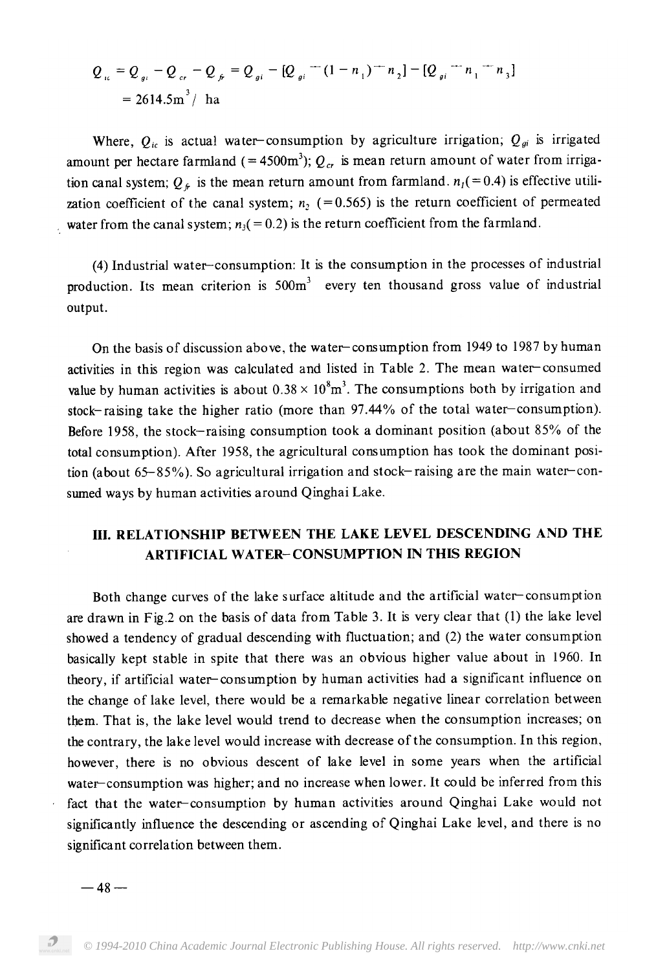$$
Q_{i\epsilon} = Q_{g\epsilon} - Q_{i\epsilon} - Q_{j\epsilon} = Q_{g\epsilon} - [Q_{g\epsilon} - (1 - n_1)^{-1}n_2] - [Q_{g\epsilon} - n_1 - n_3]
$$
  
= 2614.5m<sup>3</sup>/ ha

Where,  $Q_{ic}$  is actual water-consumption by agriculture irrigation;  $Q_{gi}$  is irrigated amount per hectare farmland (= 4500m<sup>3</sup>);  $Q_{cr}$  is mean return amount of water from irrigawhere  $Q_{\epsilon}$  is the mean return amount from farmland,  $n_{\epsilon} (= 0)$ . zation coefficient of the canal system;  $n_2$  (=0.565) is the return coefficient of permeated water from the canal system;  $n_3 (= 0.2)$  is the return coefficient from the farmland.

(4) Industrial water-consumption: It is the consumption in the processes of industrial production. Its mean criterion is 500m<sup>3</sup> every ten thousand gross value of industrial output.

On the basis of discussion above, the water-consumption from 1949 to 1987 by human activities in this region was calculated and listed in Table 2. The mean water-consumed value by human activities is about  $0.38 \times 10^8 \text{m}^3$ . The consumptions both by irrigation and stock-raising take the higher ratio (more than 97.44% of the total water-consumption). Before 1958, the stock-raising consumption took a dominant position (about 85% of the total consumption). After 1958, the agricultural consumption has took the dominant position (about  $65-85\%$ ). So agricultural irrigation and stock-raising are the main water-consumed ways by human activities around Qinghai Lake.

## III. RELATIONSHIP BETWEEN THE LAKE LEVEL DESCENDING AND THE **ARTIFICIAL WATER-CONSUMPTION IN THIS REGION**

Both change curves of the lake surface altitude and the artificial water-consumption are drawn in Fig.2 on the basis of data from Table 3. It is very clear that (1) the lake level showed a tendency of gradual descending with fluctuation; and (2) the water consumption basically kept stable in spite that there was an obvious higher value about in 1960. In theory, if artificial water-consumption by human activities had a significant influence on the change of lake level, there would be a remarkable negative linear correlation between them. That is, the lake level would trend to decrease when the consumption increases; on the contrary, the lake level would increase with decrease of the consumption. In this region, however, there is no obvious descent of lake level in some years when the artificial water-consumption was higher; and no increase when lower. It could be inferred from this fact that the water-consumption by human activities around Qinghai Lake would not significantly influence the descending or ascending of Qinghai Lake level, and there is no significant correlation between them.

 $-48-$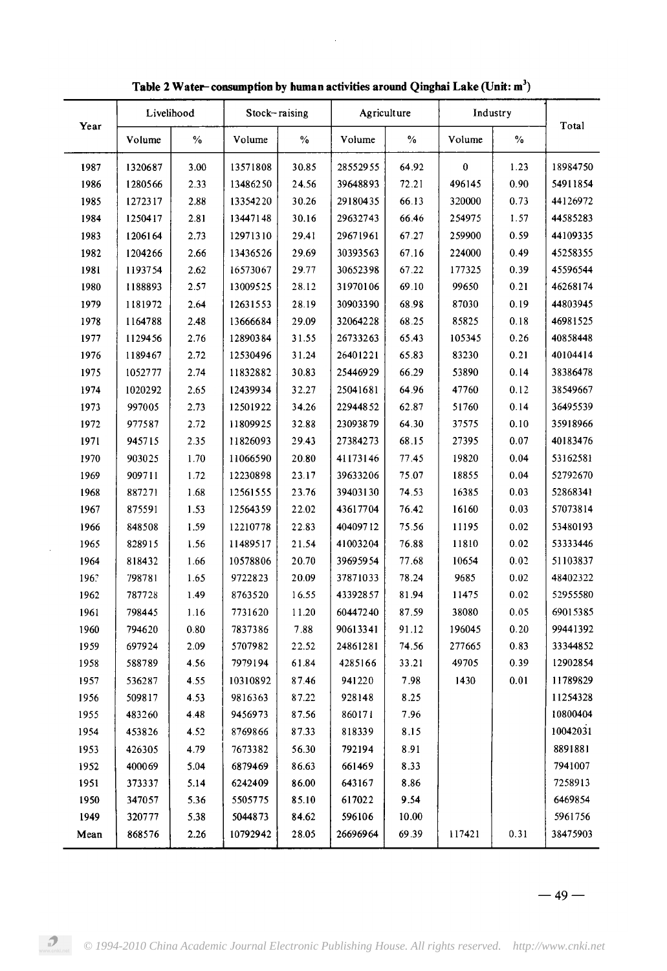|      | Livelihood<br>Year |      | Stock-raising |       | Agriculture |               | Industry |      | Total    |
|------|--------------------|------|---------------|-------|-------------|---------------|----------|------|----------|
|      | Volume             | $\%$ | Volume        | $\%$  | Volume      | $\frac{0}{0}$ | Volume   | $\%$ |          |
| 1987 | 1320687            | 3.00 | 13571808      | 30.85 | 28552955    | 64.92         | $\bf{0}$ | 1.23 | 18984750 |
| 1986 | 1280566            | 2.33 | 13486250      | 24.56 | 39648893    | 72.21         | 496145   | 0.90 | 54911854 |
| 1985 | 1272317            | 2.88 | 13354220      | 30.26 | 29180435    | 66.13         | 320000   | 0.73 | 44126972 |
| 1984 | 1250417            | 2.81 | 13447148      | 30.16 | 29632743    | 66.46         | 254975   | 1.57 | 44585283 |
| 1983 | 1206164            | 2.73 | 12971310      | 29.41 | 29671961    | 67.27         | 259900   | 0.59 | 44109335 |
| 1982 | 1204266            | 2.66 | 13436526      | 29.69 | 30393563    | 67.16         | 224000   | 0.49 | 45258355 |
| 1981 | 1193754            | 2.62 | 16573067      | 29.77 | 30652398    | 67.22         | 177325   | 0.39 | 45596544 |
| 1980 | 1188893            | 2.57 | 13009525      | 28.12 | 31970106    | 69.10         | 99650    | 0.21 | 46268174 |
| 1979 | 1181972            | 2.64 | 12631553      | 28.19 | 30903390    | 68.98         | 87030    | 0.19 | 44803945 |
| 1978 | 1164788            | 2.48 | 13666684      | 29.09 | 32064228    | 68.25         | 85825    | 0.18 | 46981525 |
| 1977 | 1129456            | 2.76 | 12890384      | 31.55 | 26733263    | 65.43         | 105345   | 0.26 | 40858448 |
| 1976 | 1189467            | 2.72 | 12530496      | 31.24 | 26401221    | 65.83         | 83230    | 0.21 | 40104414 |
| 1975 | 1052777            | 2.74 | 11832882      | 30.83 | 25446929    | 66.29         | 53890    | 0.14 | 38386478 |
| 1974 | 1020292            | 2.65 | 12439934      | 32.27 | 25041681    | 64.96         | 47760    | 0.12 | 38549667 |
| 1973 | 997005             | 2.73 | 12501922      | 34.26 | 22944852    | 62.87         | 51760    | 0.14 | 36495539 |
| 1972 | 977587             | 2.72 | 11809925      | 32.88 | 23093879    | 64.30         | 37575    | 0.10 | 35918966 |
| 1971 | 945715             | 2.35 | 11826093      | 29.43 | 27384273    | 68.15         | 27395    | 0.07 | 40183476 |
| 1970 | 903025             | 1.70 | 11066590      | 20.80 | 41173146    | 77.45         | 19820    | 0.04 | 53162581 |
| 1969 | 909711             | 1.72 | 12230898      | 23.17 | 39633206    | 75.07         | 18855    | 0.04 | 52792670 |
| 1968 | 887271             | 1.68 | 12561555      | 23.76 | 39403130    | 74.53         | 16385    | 0.03 | 52868341 |
| 1967 | 875591             | 1.53 | 12564359      | 22.02 | 43617704    | 76.42         | 16160    | 0.03 | 57073814 |
| 1966 | 848508             | 1.59 | 12210778      | 22.83 | 40409712    | 75.56         | 11195    | 0.02 | 53480193 |
| 1965 | 828915             | 1.56 | 11489517      | 21.54 | 41003204    | 76.88         | 11810    | 0.02 | 53333446 |
| 1964 | 818432             | 1.66 | 10578806      | 20.70 | 39695954    | 77.68         | 10654    | 0.02 | 51103837 |
| 196? | 798781             | 1.65 | 9722823       | 20.09 | 37871033    | 78.24         | 9685     | 0.02 | 48402322 |
| 1962 | 787728             | 1.49 | 8763520       | 16.55 | 43392857    | 81.94         | 11475    | 0.02 | 52955580 |
| 1961 | 798445             | 1.16 | 7731620       | 11.20 | 60447240    | 87.59         | 38080    | 0.05 | 69015385 |
| 1960 | 794620             | 0.80 | 7837386       | 7.88  | 90613341    | 91.12         | 196045   | 0.20 | 99441392 |
| 1959 | 697924             | 2.09 | 5707982       | 22.52 | 24861281    | 74.56         | 277665   | 0.83 | 33344852 |
| 1958 | 588789             | 4.56 | 7979194       | 61.84 | 4285166     | 33.21         | 49705    | 0.39 | 12902854 |
| 1957 | 536287             | 4.55 | 10310892      | 87.46 | 941220      | 7.98          | 1430     | 0.01 | 11789829 |
| 1956 | 509817             | 4.53 | 9816363       | 87.22 | 928148      | 8.25          |          |      | 11254328 |
| 1955 | 483260             | 4.48 | 9456973       | 87.56 | 860171      | 7.96          |          |      | 10800404 |
| 1954 | 453826             | 4.52 | 8769866       | 87.33 | 818339      | 8.15          |          |      | 10042031 |
| 1953 | 426305             | 4.79 | 7673382       | 56.30 | 792194      | 8.91          |          |      | 8891881  |
| 1952 | 400069             | 5.04 | 6879469       | 86.63 | 661469      | 8.33          |          |      | 7941007  |
| 1951 | 373337             | 5.14 | 6242409       | 86.00 | 643167      | 8.86          |          |      | 7258913  |
| 1950 | 347057             | 5.36 | 5505775       | 85.10 | 617022      | 9.54          |          |      | 6469854  |
| 1949 | 320777             | 5.38 | 5044873       | 84.62 | 596106      | 10.00         |          |      | 5961756  |
| Mean | 868576             | 2.26 | 10792942      | 28.05 | 26696964    | 69.39         | 117421   | 0.31 | 38475903 |

 $\hat{\boldsymbol{\epsilon}}$ 

Table 2 Water-consumption by human activities around Qinghai Lake (Unit: m<sup>3</sup>)

 $\bar{z}$ 

 $-49-$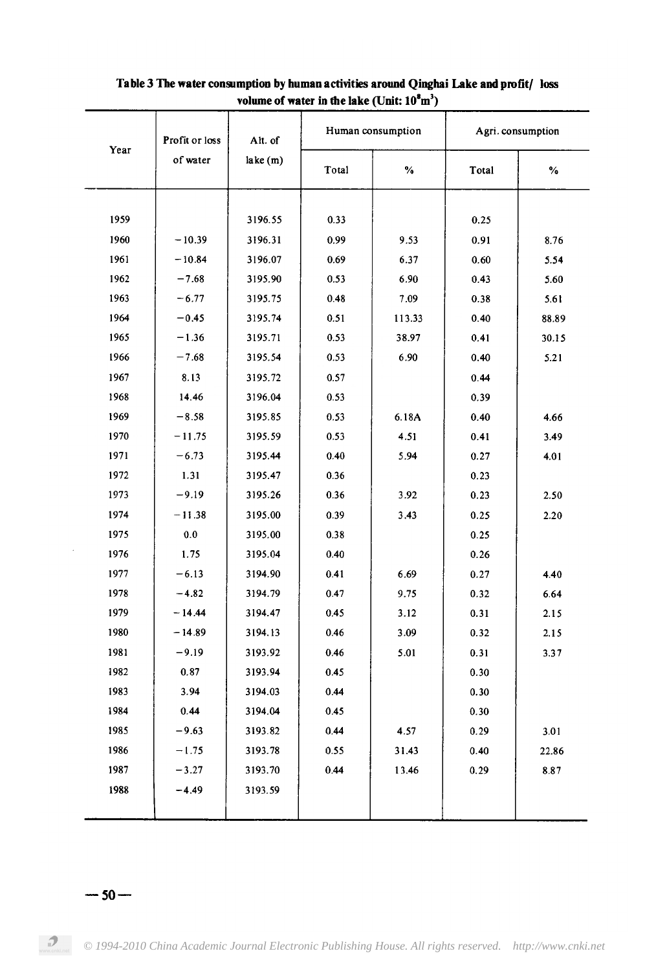| Year | Profit or loss<br>of water | Alt. of<br>lake (m) |              | Human consumption | Agri. consumption |              |
|------|----------------------------|---------------------|--------------|-------------------|-------------------|--------------|
|      |                            |                     | Total        | $\%$              | Total             | $\%$         |
| 1959 |                            | 3196.55             | 0.33         |                   | 0.25              |              |
| 1960 |                            |                     |              |                   |                   |              |
| 1961 | $-10.39$<br>$-10.84$       | 3196.31<br>3196.07  | 0.99         | 9.53              | 0.91              | 8.76         |
| 1962 | $-7.68$                    | 3195.90             | 0.69<br>0.53 | 6.37<br>6.90      | 0.60              | 5.54         |
| 1963 | $-6.77$                    | 3195.75             | 048          | 7.09              | 0.43              | 5.60<br>5.61 |
| 1964 |                            |                     |              |                   | 0.38              |              |
| 1965 | $-0.45$                    | 3195.74             | 0.51         | 113.33            | 0.40              | 88.89        |
|      | $-1.36$                    | 3195.71             | 0.53         | 38.97             | 0.41              | 30.15        |
| 1966 | $-7.68$                    | 3195.54             | 0.53         | 6.90              | 0.40              | 5.21         |
| 1967 | 8.13                       | 3195.72             | 0.57         |                   | 0.44              |              |
| 1968 | 14.46                      | 3196.04             | 0.53         |                   | 0.39              |              |
| 1969 | $-8.58$                    | 3195.85             | 0.53         | 6.18A             | 0.40              | 4.66         |
| 1970 | $-11.75$                   | 3195.59             | 0.53         | 4.51              | 0.41              | 3.49         |
| 1971 | $-6.73$                    | 3195.44             | 0.40         | 5.94              | 0.27              | 4.01         |
| 1972 | 1.31                       | 3195.47             | 0.36         |                   | 0.23              |              |
| 1973 | $-9.19$                    | 3195.26             | 0.36         | 3.92              | 0.23              | 2.50         |
| 1974 | $-11.38$                   | 3195.00             | 0.39         | 3.43              | 0.25              | 2.20         |
| 1975 | 0.0                        | 3195.00             | 0.38         |                   | 0.25              |              |
| 1976 | 1.75                       | 3195.04             | 0.40         |                   | 0.26              |              |
| 1977 | $-6.13$                    | 3194.90             | 0.41         | 6.69              | 0.27              | 4.40         |
| 1978 | $-4.82$                    | 3194.79             | 0.47         | 9.75              | 0.32              | 6.64         |
| 1979 | $-14.44$                   | 3194.47             | 0.45         | 3.12              | 0.31              | 2.15         |
| 1980 | $-14.89$                   | 3194.13             | 0.46         | 3.09              | 0.32              | 2.15         |
| 1981 | $-9.19$                    | 3193.92             | 0.46         | 5.01              | 0.31              | 3.37         |
| 1982 | 0.87                       | 3193.94             | 0.45         |                   | 0.30              |              |
| 1983 | 3.94                       | 3194.03             | 0.44         |                   | 0.30              |              |
| 1984 | 0.44                       | 3194.04             | 0.45         |                   | 0.30              |              |
| 1985 | $-9.63$                    | 3193.82             | 0.44         | 4.57              | 0.29              | 3.01         |
| 1986 | $-1.75$                    | 3193.78             | 0.55         | 31.43             | 0.40              | 22.86        |
| 1987 | $-3.27$                    | 3193.70             | 0.44         | 13.46             | 0.29              | 8.87         |
| 1988 | $-4.49$                    | 3193.59             |              |                   |                   |              |
|      |                            |                     |              |                   |                   |              |

### Table 3 The water consumption by human activities around Qinghai Lake and profit/ loss volume of water in the lake (Unit:  $10^8 \text{m}^3$ )

#### $-50-$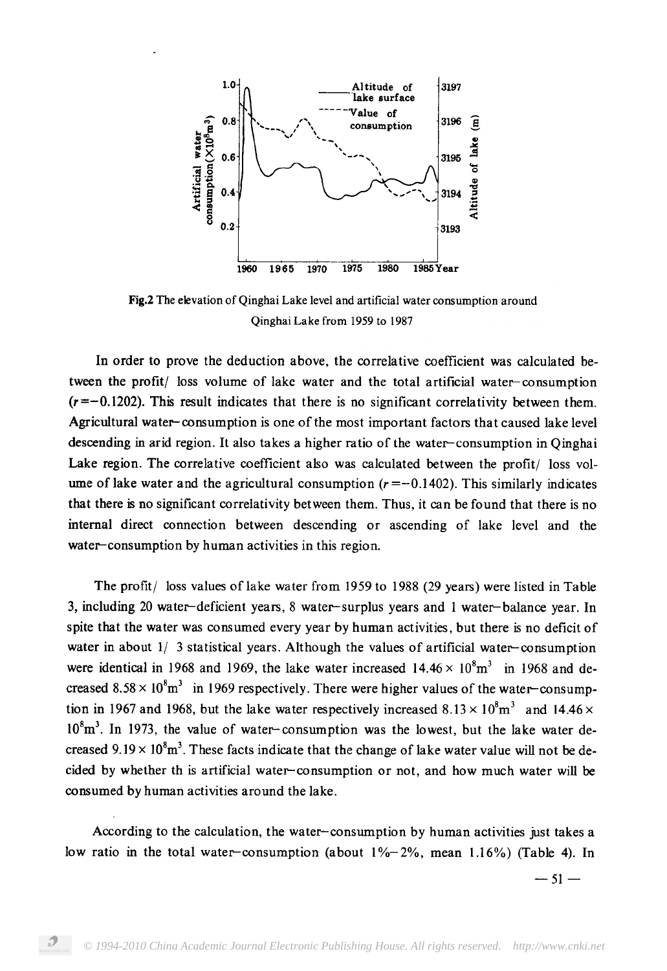

Fig.2 The elevation of Qinghai Lake level and artificial water consumption around Qinghai Lake from 1959 to 1987

In order to prove the deduction above, the correlative coefficient was calculated between the profit/ loss volume of lake water and the total artificial water-consumption  $(r = -0.1202)$ . This result indicates that there is no significant correlativity between them. Agricultural water-consumption is one of the most important factors that caused lake level descending in arid region. It also takes a higher ratio of the water-consumption in Oinghai Lake region. The correlative coefficient also was calculated between the profit/ loss volume of lake water and the agricultural consumption  $(r = -0.1402)$ . This similarly indicates that there is no significant correlativity between them. Thus, it can be found that there is no internal direct connection between descending or ascending of lake level and the water-consumption by human activities in this region.

The profit/ loss values of lake water from 1959 to 1988 (29 years) were listed in Table 3, including 20 water-deficient years, 8 water-surplus years and 1 water-balance year. In spite that the water was consumed every year by human activities, but there is no deficit of water in about  $1/3$  statistical years. Although the values of artificial water-consumption were identical in 1968 and 1969, the lake water increased  $14.46 \times 10^8$ m<sup>3</sup> in 1968 and decreased  $8.58 \times 10^8$  m<sup>3</sup> in 1969 respectively. There were higher values of the water-consumption in 1967 and 1968, but the lake water respectively increased  $8.13 \times 10^8$  m<sup>3</sup> and 14.46  $\times$  $10<sup>8</sup>m<sup>3</sup>$ . In 1973, the value of water-consumption was the lowest, but the lake water decreased  $9.19 \times 10^8$ m<sup>3</sup>. These facts indicate that the change of lake water value will not be decided by whether th is artificial water-consumption or not, and how much water will be consumed by human activities around the lake.

According to the calculation, the water-consumption by human activities just takes a low ratio in the total water-consumption (about  $1\% - 2\%$ , mean  $1.16\%$ ) (Table 4). In

 $-51-$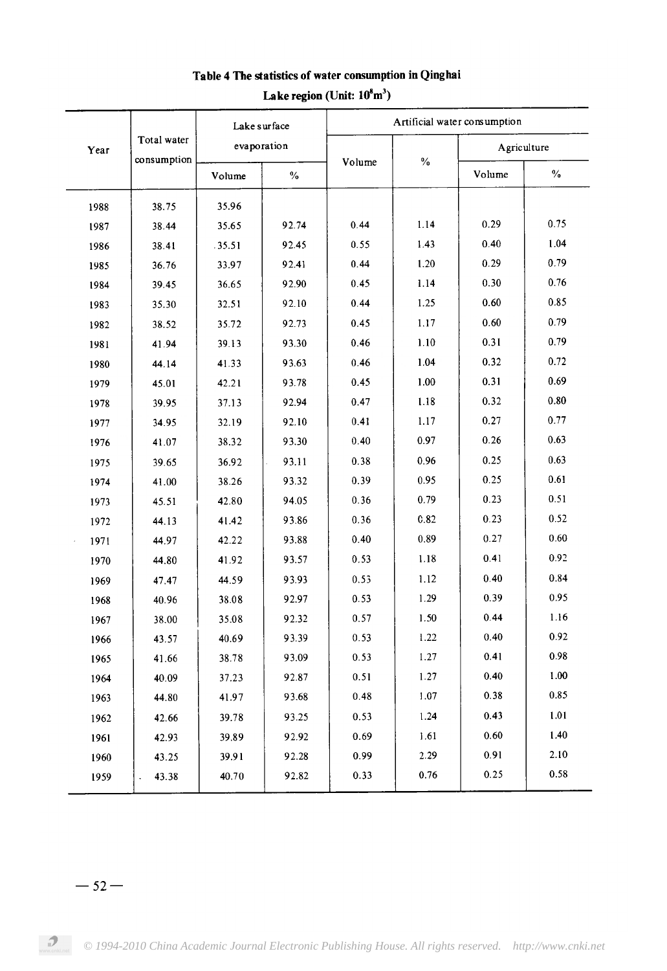|      | Total water<br>consumption | Lake surface<br>evaporation |               | Artificial water consumption |      |             |      |  |
|------|----------------------------|-----------------------------|---------------|------------------------------|------|-------------|------|--|
| Year |                            |                             |               |                              | $\%$ | Agriculture |      |  |
|      |                            | Volume                      | $\frac{0}{0}$ | Volume                       |      | Volume      | $\%$ |  |
| 1988 | 38.75                      | 35.96                       |               |                              |      |             |      |  |
| 1987 | 38.44                      | 35.65                       | 92.74         | 0.44                         | 1.14 | 0.29        | 0.75 |  |
| 1986 | 38.41                      | .35.51                      | 92.45         | 0.55                         | 1.43 | 0.40        | 1.04 |  |
| 1985 | 36.76                      | 33.97                       | 92.41         | 0.44                         | 1.20 | 0.29        | 0.79 |  |
| 1984 | 39.45                      | 36.65                       | 92.90         | 0.45                         | 1.14 | 0.30        | 0.76 |  |
| 1983 | 35.30                      | 32.51                       | 92.10         | 0.44                         | 1.25 | 0.60        | 0.85 |  |
| 1982 | 38.52                      | 35.72                       | 92.73         | 0.45                         | 1.17 | 0.60        | 0.79 |  |
| 1981 | 41.94                      | 39.13                       | 93.30         | 0.46                         | 1.10 | 0.31        | 0.79 |  |
| 1980 | 44.14                      | 41.33                       | 93.63         | 0.46                         | 1.04 | 0.32        | 0.72 |  |
| 1979 | 45.01                      | 42.21                       | 93.78         | 0.45                         | 1.00 | 0.31        | 0.69 |  |
| 1978 | 39.95                      | 37.13                       | 92.94         | 0.47                         | 1.18 | 0.32        | 0.80 |  |
| 1977 | 34.95                      | 32.19                       | 92.10         | 0.41                         | 1.17 | 0.27        | 0.77 |  |
| 1976 | 41.07                      | 38.32                       | 93.30         | 0.40                         | 0.97 | 0.26        | 0.63 |  |
| 1975 | 39.65                      | 36.92                       | 93.11         | 0.38                         | 0.96 | 0.25        | 0.63 |  |
| 1974 | 41.00                      | 38.26                       | 93.32         | 0.39                         | 0.95 | 0.25        | 0.61 |  |
| 1973 | 45.51                      | 42.80                       | 94.05         | 0.36                         | 0.79 | 0.23        | 0.51 |  |
| 1972 | 44.13                      | 41.42                       | 93.86         | 0.36                         | 0.82 | 0.23        | 0.52 |  |
| 1971 | 44.97                      | 42.22                       | 93.88         | 0.40                         | 0.89 | 0.27        | 0.60 |  |
| 1970 | 44.80                      | 41.92                       | 93.57         | 0.53                         | 1.18 | 0.41        | 0.92 |  |
| 1969 | 47.47                      | 44.59                       | 93.93         | 0.53                         | 1.12 | 0.40        | 0.84 |  |
| 1968 | 40.96                      | 38.08                       | 92.97         | 0.53                         | 1.29 | 0.39        | 0.95 |  |
| 1967 | 38.00                      | 35.08                       | 92.32         | 0.57                         | 1.50 | 0.44        | 1.16 |  |
| 1966 | 43.57                      | 40.69                       | 93.39         | 0.53                         | 1.22 | 0.40        | 0.92 |  |
| 1965 | 41.66                      | 38.78                       | 93.09         | 0.53                         | 1.27 | 0.41        | 0.98 |  |
| 1964 | 40.09                      | 37.23                       | 92.87         | 0.51                         | 1.27 | 0.40        | 1.00 |  |
| 1963 | 44.80                      | 41.97                       | 93.68         | 0.48                         | 1.07 | 0.38        | 0.85 |  |
| 1962 | 42.66                      | 39.78                       | 93.25         | 0.53                         | 1.24 | 0.43        | 1.01 |  |
| 1961 | 42.93                      | 39.89                       | 92.92         | 0.69                         | 1.61 | 0.60        | 1.40 |  |
| 1960 | 43.25                      | 39.91                       | 92.28         | 0.99                         | 2.29 | 0.91        | 2.10 |  |
| 1959 | 43.38                      | 40.70                       | 92.82         | 0.33                         | 0.76 | 0.25        | 0.58 |  |
|      |                            |                             |               |                              |      |             |      |  |

# Table 4 The statistics of water consumption in Qinghai Lake region (Unit:  $10^8$ m<sup>3</sup>)

#### $-52-$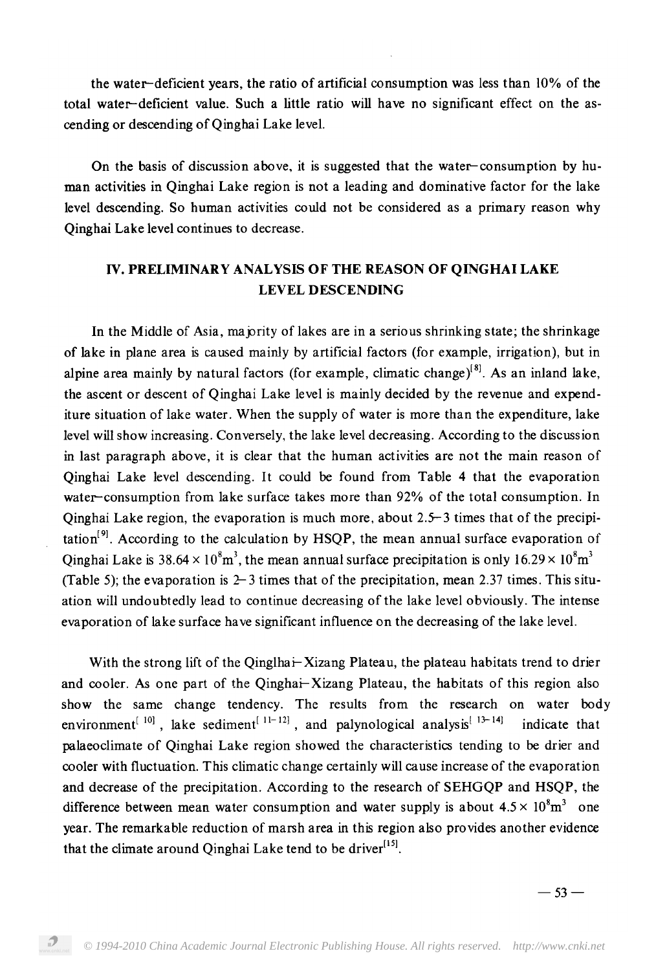the water-deficient years, the ratio of artificial consumption was less than 10% of the total water-deficient value. Such a little ratio will have no significant effect on the ascending or descending of Qinghai Lake level.

On the basis of discussion above, it is suggested that the water-consumption by human activities in Qinghai Lake region is not a leading and dominative factor for the lake level descending. So human activities could not be considered as a primary reason why Qinghai Lake level continues to decrease.

# IV. PRELIMINARY ANALYSIS OF THE REASON OF QINGHAI LAKE **LEVEL DESCENDING**

In the Middle of Asia, majority of lakes are in a serious shrinking state; the shrinkage of lake in plane area is caused mainly by artificial factors (for example, irrigation), but in alpine area mainly by natural factors (for example, climatic change)<sup>[8]</sup>. As an inland lake, the ascent or descent of Qinghai Lake level is mainly decided by the revenue and expenditure situation of lake water. When the supply of water is more than the expenditure, lake level will show increasing. Conversely, the lake level decreasing. According to the discussion in last paragraph above, it is clear that the human activities are not the main reason of Qinghai Lake level descending. It could be found from Table 4 that the evaporation water-consumption from lake surface takes more than 92% of the total consumption. In Qinghai Lake region, the evaporation is much more, about 2.5–3 times that of the precipi- $\text{tation}^{[9]}$ . According to the calculation by HSQP, the mean annual surface evaporation of  $, \frac{3}{4}$ ,  $, \frac{1}{2}$ ,  $, \frac{1}{2}$ ,  $, \frac{1}{2}$ ,  $, \frac{1}{2}$ ,  $, \frac{1}{2}$ ,  $, \frac{1}{2}$ ,  $, \frac{1}{2}$ ,  $, \frac{1}{2}$ ,  $, \frac{1}{2}$ ,  $, \frac{1}{2}$ ,  $, \frac{1}{2}$ ,  $, \frac{1}{2}$ ,  $, \frac{1}{2}$ ,  $, \frac{1}{2}$ ,  $, \frac{1}{2}$ ,  $, \frac{1}{2}$ ,  $, \frac{1}{2}$ ,  $, \frac{$ (Table 5); the evaporation is  $2-3$  times that of the precipitation, mean 2.37 times. This situation will undoubtedly lead to continue decreasing of the lake level obviously. The intense evaporation of lake surface have significant influence on the decreasing of the lake level.

With the strong lift of the Qinglhai-Xizang Plateau, the plateau habitats trend to drier and cooler. As one part of the Qinghai-Xizang Plateau, the habitats of this region also show the same change tendency. The results from the research on water body environment<sup>[10]</sup>, lake sediment<sup>[11-12]</sup>, and palynological analysis<sup>[13-14]</sup> indicate that palaeoclimate of Qinghai Lake region showed the characteristics tending to be drier and cooler with fluctuation. This climatic change certainly will cause increase of the evaporation and decrease of the precipitation. According to the research of SEHGQP and HSQP, the difference between mean water consumption and water supply is about  $4.5 \times 10^8 \text{m}^3$  one year. The remarkable reduction of marsh area in this region also provides another evidence that the climate around Qinghai Lake tend to be driver<sup>[15]</sup>.

 $-53-$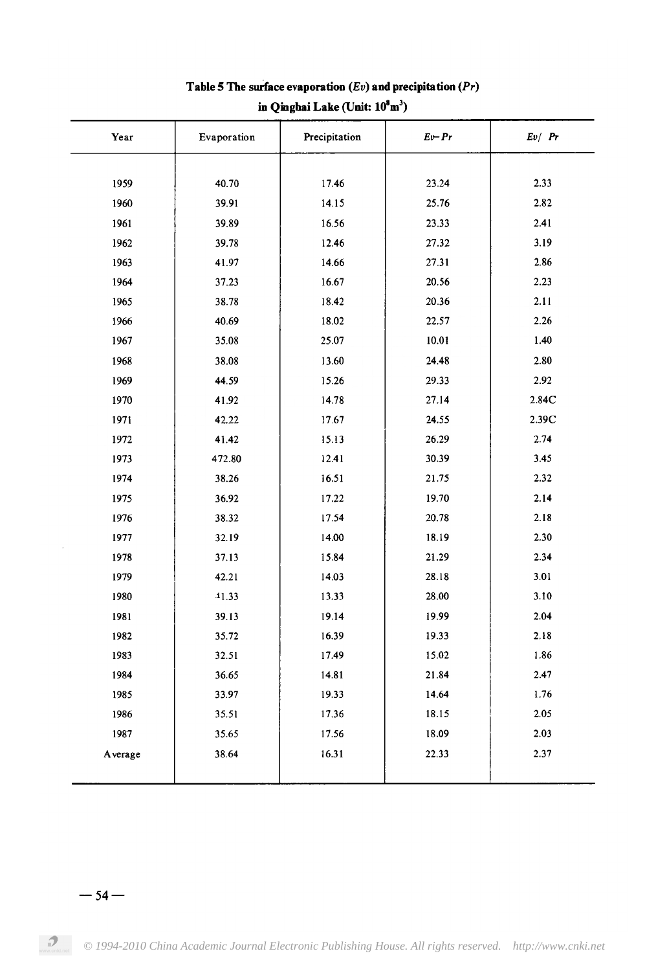| Year    | Evaporation | Precipitation | $Ev$ -Pr | Ev/Pr |
|---------|-------------|---------------|----------|-------|
|         |             |               |          |       |
| 1959    | 40.70       | 17.46         | 23.24    | 2.33  |
| 1960    | 39.91       | 14.15         | 25.76    | 2.82  |
| 1961    | 39.89       | 16.56         | 23.33    | 2.41  |
| 1962    | 39.78       | 12.46         | 27.32    | 3.19  |
| 1963    | 41.97       | 14.66         | 27.31    | 2.86  |
| 1964    | 37.23       | 16.67         | 20.56    | 2.23  |
| 1965    | 38.78       | 18.42         | 20.36    | 2.11  |
| 1966    | 40.69       | 18.02         | 22.57    | 2.26  |
| 1967    | 35.08       | 25.07         | 10.01    | 1.40  |
| 1968    | 38.08       | 13.60         | 24.48    | 2.80  |
| 1969    | 44.59       | 15.26         | 29.33    | 2.92  |
| 1970    | 41.92       | 14.78         | 27.14    | 2.84C |
| 1971    | 42.22       | 17.67         | 24.55    | 2.39C |
| 1972    | 41.42       | 15.13         | 26.29    | 2.74  |
| 1973    | 472.80      | 12.41         | 30.39    | 3.45  |
| 1974    | 38.26       | 16.51         | 21.75    | 2.32  |
| 1975    | 36.92       | 17.22         | 19.70    | 2.14  |
| 1976    | 38.32       | 17.54         | 20.78    | 2.18  |
| 1977    | 32.19       | 14.00         | 18.19    | 2.30  |
| 1978    | 37.13       | 15.84         | 21.29    | 2.34  |
| 1979    | 42.21       | 14.03         | 28.18    | 3.01  |
| 1980    | 41.33       | 13.33         | 28.00    | 3.10  |
| 1981    | 39.13       | 19.14         | 19.99    | 2.04  |
| 1982    | 35.72       | 16.39         | 19.33    | 2.18  |
| 1983    | 32.51       | 17.49         | 15.02    | 1.86  |
| 1984    | 36.65       | 14.81         | 21.84    | 2.47  |
| 1985    | 33.97       | 19.33         | 14.64    | 1.76  |
| 1986    | 35.51       | 17.36         | 18.15    | 2.05  |
| 1987    | 35.65       | 17.56         | 18.09    | 2.03  |
| Average | 38.64       | 16.31         | 22.33    | 2.37  |
|         |             |               |          |       |

# Table 5 The surface evaporation  $(Ev)$  and precipitation  $(Pr)$ in Qinghai Lake (Unit: 10<sup>8</sup>m<sup>3</sup>)

 $-54-$